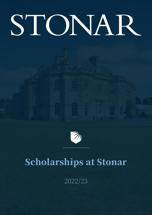# STONAR



# Scholarships at Stonar

2022/23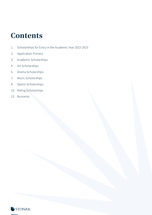### **Contents**

- 1. Scholarships for Entry in the Academic Year 2022-2023
- 2. Application Process
- 3. Academic Scholarships
- 4. Art Scholarships
- 6. Drama Scholarships
- 7. Music Scholarships
- 8. Sports Scholarships
- 10. Riding Scholarships
- 13. Bursaries

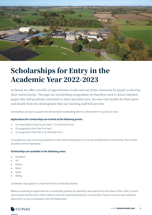

## Scholarships for Entry in the Academic Year 2022-2023

At Stonar we offer a wealth of opportunities inside and out of the classroom for pupils to develop their varied talents. Through our scholarships programme we therefore seek to attract talented pupils who will positively contribute to their specialist area, become role models for their peers and benefit from the development that our teaching staff will provide.

Scholarships are open to pupils who demonstrate outstanding talent or achievement in a particular area.

#### **Applications for scholarships are invited at the following points:**

- On entering the school to join Years 7, 9 or the Sixth Form
- On progression from Year 6 to Year 7
- On progression from Year 11 to the Sixth Form

In exceptional cases it may be possible for a new child entering Year 8 or 10 to be considered for a scholarship. This is at the discretion of the Headmaster.

#### **Scholarships are available in the following areas:**

- **Academic**
- **Art**
- Drama
- **Music**
- Sport
- **Riding**

Candidates may apply for a maximum of two scholarship awards.

Before considering an application for a scholarship, parents are advised to seek advice from the Head of their child's current school about whether their child is likely to meet the required standard for a scholarship. Parents may also seek indicative advice from us via a consultation with the Headmaster.

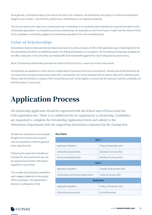Once gained, a scholarship lasts to the end of the Sixth Form. However, all scholarships are subject to continued satisfactory progress and scholars'commitment, performance and behaviour are regularly reviewed.

The School reserves the right not to award particular scholarships if no candidate demonstrates the required standard. As the scholarship application is a competitive process, scholarships are assessed at a set time of year in order that the relative merits of all candidates can be fairly judged and scholarships awarded in line with available funds.

#### Value of Scholarships

Scholarships relate to both potential and attainment and carry a fee remission of 10% of the applicable day or boarding fee for the first scholarship and 5% for an additional award. The Riding Scholarship is an exception. The two Riding Scholarships available do not offer a reduction in the school fee, but instead offer financial benefits against the cost of riding lessons and/or livery.

Music Scholarships additionally provide free tuition at the School for a maximum of two instruments.

Scholarships are awarded on merit and are independent of parental financial circumstances. Should parents feel that they do not require the monetary reward associated with a scholarship, the money released will be used to help other talented pupils. Please note that families in receipt of the Forces Discount will not be eligible to receive the fee reduction and the candidate will hold the award in name only.

# Application Process

All scholarship applicants should be registered with the School and will have paid the £100 registration fee. There is no additional fee for applying for a scholarship. Candidates are requested to complete the Scholarship Application Form and submit to the Admissions Department with the supporting information requested by the closing date.

All external candidates must complete the general entrance examinations and are expected to meet the general entry requirements.

Following the application deadline a schedule for the assessment day will be prepared and further information supplied to each family.

The number of scholarships awarded in each category depends on the quality of the candidates. The Headmaster's decision on all awards is final.

#### **Key Dates:**

| Year <sub>7</sub>                     |                          |
|---------------------------------------|--------------------------|
| Application Deadline:                 | Friday 12 November 2021  |
| Scholarship Assessments:              | Saturday 8 January 2021  |
| Entrance Assessment Day:              | Monday 14 January 2021   |
| Year 9                                |                          |
| Application Deadline:                 | Tuesday 30 November 2021 |
| Scholarship and Entrance Assessments: | Friday 28 January 2021   |
| <b>Sixth Form</b>                     |                          |
| Application Deadline:                 | Friday 12 November 2021  |
| Scholarship Assessments:              | End of November          |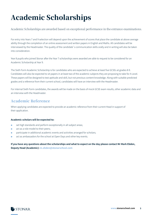# Academic Scholarships

Academic Scholarships are awarded based on exceptional performance in the entrance examinations.

For entry into Years 7 and 9 selection will depend upon the achievement of scores that place the candidate at above average ability through the completion of an online assessment and written papers in English and Maths. All candidates will be interviewed by the Headmaster. The quality of the candidate's communication skills orally and in writing will also be taken into consideration.

Year 8 pupils who joined Stonar after the Year 7 scholarships were awarded are able to request to be considered for an Academic Scholarship at Year 9.

The Sixth Form Academic Scholarship is for candidates who are expected to achieve at least five GCSEs at grades 8-9. Candidates will also be expected to sit papers in at least two of the academic subjects they are proposing to take for A Level. These papers will be designed to test aptitude and skill, but not previous content knowledge. Along with suitable predicted grades and a reference from their current school, candidates will have an interview with the Headmaster.

For internal Sixth Form candidates, the awards will be made on the basis of mock GCSE exam results, other academic data and an interview with the Headmaster.

#### Academic Reference

When applying candidates are expected to provide an academic reference from their current Head in support of their application.

#### **Academic scholars will be expected to:**

- set high standards and perform exceptionally in all subject areas;
- act as a role model to their peers;
- ● participate in additional academic events and activities arranged for scholars;
- act as ambassadors for the school at Open Days and other key events.

**If you have any questions about the scholarships and what to expect on the day please contact Mr Mark Ebden, Deputy Head (Academic): m.ebden@stonarschool.com**

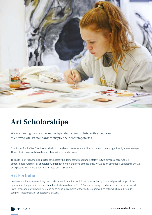

# Art Scholarships

We are looking for creative and independent young artists, with exceptional talent who will set standards to inspire their contemporaries.

Candidates for the Year 7 and 9 Awards should be able to demonstrate ability and potential in Art significantly above average. The ability to draw well directly from observation is fundamental.

The Sixth Form Art Scholarship is for candidates who demonstrate outstanding talent in two-dimensional art, threedimensional art, textiles or photography. Strength in more than one of these areas would be an advantage. Candidates should be expecting to achieve grades 8-9 in a relevant GCSE subject.

#### Art Portfolio

In advance of the assessment day candidates should submit a portfolio of independently produced pieces to support their application. The portfolio can be submitted electronically on a CD, USB or online. Images and videos can also be included. Sixth Form candidates should be prepared to bring in examples of their GCSE coursework to date, which could include samples, sketchbooks or photographs of work.

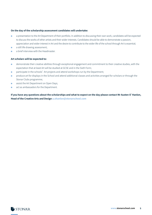#### **On the day of the scholarship assessment candidates will undertake:**

- ● a presentation to the Art Department of their portfolio. In addition to discussing their own work, candidates will be expected to discuss the works of other artists and their wider interests. Candidates should be able to demonstrate a passion, appreciation and wider interest in Art and the desire to contribute to the wider life of the school through Art is essential;
- a still life drawing assessment;
- a brief interview with the Headmaster.

#### **Art scholars will be expected to:**

- demonstrate their creative abilities through exceptional engagement and commitment to their creative studies, with the expectation that at least Art will be studied at GCSE and in the Sixth Form;
- participate in the schools' Art projects and attend workshops run by the Department;
- produce art for displays in the School and attend additional classes and activities arranged for scholars or through the Stonar Clubs programme;
- **•** assist the Art Department on Open Days;
- act as ambassadors for the Department.

**If you have any questions about the scholarships and what to expect on the day please contact Mr Austen O'Hanlon, Head of the Creative Arts and Design a.ohanlon@stonarschool.com**

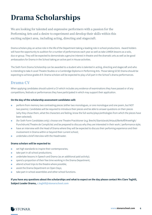# Drama Scholarships

We are looking for talented and expressive performers with a passion for the Performing Arts and a desire to experiment and develop their skills within this exciting subject area, including acting, directing and stagecraft.

Drama scholars play an active role in the life of the Department taking a leading role in school productions. Award holders will have the opportunity to audition for a number of performances each year as well as take LAMDA lessons as a solo, duo or group. They will be expected to demonstrate a genuine interest in theatre and the dramatic arts as well as be good ambassadors for Drama in the School taking an active part in House activities.

The Sixth Form Drama Scholarship can be awarded to a student who is talented in acting, directing and stagecraft and who is intending to take A Level Theatre Studies or a Cambridge Diploma in Performing Arts. Those taking GCSE Drama should be expecting to achieve grades 8-9. Drama scholars will be expected to play a full part in the School's drama performances.

#### Drama CV

When applying candidates should submit a CV which includes any evidence of examinations they have passed or of any competitions, festivals or performances they have participated in which may support their application.

#### **On the day of the scholarship assessment candidates will:**

- **•** perform from memory two contrasting pieces (either two monologues, or one monologue and one poem, but NOT two poems). Candidates will be required to introduce their pieces and be able to answer questions on their pieces (why they chose them, what the characters are feeling, know the full-works/plays/anthologies from which the pieces have been selected);
- (for Sixth Form Candidates only): choose one Theatre Practitioner (e.g. Brecht/Stanislavski/Artaud/Berkoff/Kneehigh/ Punchdrunk/Theatre de Complicite) and be prepared to discuss why they are interested in their work / performance style;
- **•** have an interview with the Head of Drama where they will be expected to discuss their perfoming experience and their involvement in Drama within or beyond their current school;
- ● undertake a brief interview with the Headmaster.

#### **Drama scholars will be expected to:**

- set high standards to inspire their contemporaries;
- take part in all school productions;
- undertake lessons in Speech and Drama (as an additional paid activity);
- spend a proportion of their free time working in the Drama Department;
- attend school trips to the theatre where possible:
- assist the Drama Department on Open Days;
- take part in school assemblies and other school functions.

**If you have any questions about the scholarships and what to expect on the day please contact Mrs Clare Toghill, Subject Leader Drama, c.toghill@stonarschool.com**

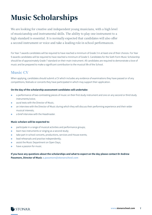# Music Scholarships

We are looking for creative and independent young musicians, with a high level of musicianship and instrumental skills. The ability to play one instrument to a high standard is essential. It is normally expected that candidates will also offer a second instrument or voice and take a leading role in school performances.

For Year 7 awards candidates will be required to have reached a minimum of Grade 3 in at least one of their choices. For Year 9 awards candidates will be required to have reached a minimum of Grade 5. Candidates for the Sixth Form Music Scholarship should be of approximately Grade 7 standard on their main instrument. All candidates are required to demonstrate a love of music and be prepared to make a significant contribution to the musical life of the School.

#### Music CV

When applying, candidates should submit a CV which includes any evidence of examinations they have passed or of any competitions, festivals or concerts they have participated in which may support their application.

#### **On the day of the scholarship assessment candidates will undertake:**

- a performance of two contrasting pieces of music on their first study instrument and one on any second or third study instruments/voice;
- aural tests with the Director of Music;
- an interview with the Director of Music during which they will discuss their performing experience and their wider musical interests;
- a brief interview with the Headmaster

#### **Music scholars will be expected to:**

- ● participate in a range of musical activities and performance groups;
- learn two instruments or singing as a second study;
- take part in school concerts, productions, services and House events;
- lead rehearsals and practise independently;
- assist the Music Department on Open Days;
- **•** have a passion for music.

#### **If you have any questions about the scholarships and what to expect on the day please contact Dr Andrew Passmore, Director of Music a.passmore@stonarschool.com**

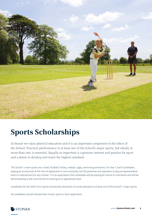

# Sports Scholarships

At Stonar we value physical education and it is an important component in the ethos of the School. Practical performance in at least one of the School's major sports, but ideally in more than one, is essential. Equally as important is a genuine interest and passion for sport and a desire to develop and reach the highest standard.

The School's main sports are: cricket, football, hockey, netball, rugby, swimming and tennis. For Year 7 and 9 candidates, playing at county level at the time of application is not a necessity, but the potential and aspiration to play at representative level is a requirement for any scholar. It is an expectation that candidates will be playing for school or club teams and will be demonstrating a real commitment to training at an appropriate level.

Candidates for the Sixth Form Sports Scholarship should be of county standard in at least one of the School's major sports.

All candidates should indicate their chosen sports in their application.

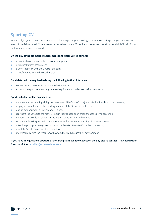#### Sporting CV

When applying, candidates are requested to submit a sporting CV, showing a summary of their sporting experiences and areas of specialism. In addition, a reference from their current PE teacher or from their coach from local club/district/county performance centres is required.

#### **On the day of the scholarship assessment candidates will undertake:**

- a practical assessment in their two chosen sports;
- **a** a practical fitness assessment;
- a short interview with the Director of Sport:
- ● a brief interview with the Headmaster.

#### **Candidates will be required to bring the following to their interview:**

- Formal attire to wear whilst attending the interview
- Appropriate sportswear and any required equipment to undertake their assessments

#### **Sports scholars will be expected to:**

- demonstrate outstanding ability in at least one of the School's major sports, but ideally in more than one;
- **•** display a commitment to the sporting interests of the School in each term;
- ensure availability for all inter-school fixtures;
- represent the School to the highest level in their chosen sport throughout their time at Stonar;
- demonstrate excellent sportsmanship within sports lessons and fixtures;
- set standards to inspire their contemporaries and assist in the coaching of younger players;
- ● attend a sports psychology workshop and undertake fitness testing at Bath University;
- **•** assist the Sports Department on Open Days;
- meet regularly with their mentor with whom they will discuss their development.

**If you have any questions about the scholarships and what to expect on the day please contact Mr Richard Miller, Director of Sport r.miller@stonarschool.com**

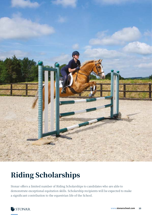

# Riding Scholarships

Stonar offers a limited number of Riding Scholarships to candidates who are able to demonstrate exceptional equitation skills. Scholarship recipients will be expected to make a significant contribution to the equestrian life of the School.

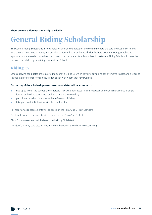#### **There are two different scholarships available:**

# General Riding Scholarship

The General Riding Scholarship is for candidates who show dedication and commitment to the care and welfare of horses, who show a strong level of ability and are able to ride with care and empathy for the horse. General Riding Scholarship applicants do not need to have their own horse to be considered for this scholarship. A General Riding Scholarship takes the form of a weekly free group riding lesson at the School.

#### Riding CV

When applying candidates are requested to submit a Riding CV which contains any riding achievements to date and a letter of introduction/reference from an equestrian coach with whom they have worked.

#### **On the day of the scholarship assessment candidates will be expected to:**

- ride up to two of the School's own horses. They will be assessed in all three paces and over a short course of single fences, and will be questioned on horse care and knowledge;
- **•** participate in a short interview with the Director of Riding;
- take part in a brief interview with the Headmaster.

For Year 7 awards, assessments will be based on the Pony Club D+ Test Standard

For Year 9, awards assessments will be based on the Pony Club C+ Test

Sixth Form assessments will be based on the Pony Club B test

Details of the Pony Club tests can be found on the Pony Club website www.pcuk.org

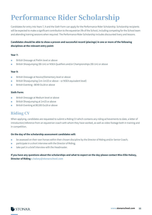# Performance Rider Scholarship

Candidates for entry into Years 7, 9 and the Sixth Form can apply for the Performance Rider Scholarship. Scholarship recipients will be expected to make a significant contribution to the equestrian life of the School, including competing for the School team and attending training sessions when required. The Performance Rider Scholarship includes discounted livery and lessons.

#### **Candidates should be able to show a proven and successful record (placings) in one or more of the following disciplines at the relevant entry point:**

#### **Year 7:**

- British Dressage at Prelim level or above
- ● British Showjumping (90-1m) or NSEA Qualifiers and/or Championships (90-1m) or above

#### **Year 9:**

- British Dressage at Novice/Elementary level or above
- British Showjumping (1m-1m10 or above or NSEA equivalent level)
- British Eventing –BE90 Ou18 or above

#### **Sixth Form:**

- **•** British Dressage at Medium level or above
- British Showjumping at 1m15 or above
- British Eventing at BE100 Ou18 or above

#### Riding CV

When applying, candidates are requested to submit a Riding CV which contains any riding achievements to date, a letter of introduction/reference from an equestrian coach with whom they have worked, as well as video footage both in training and in competition.

#### **On the day of the scholarship assessment candidates will:**

- **•** be assessed on their own horses within their chosen discipline by the Director of Riding and/or Senior Coach;
- **•** participate in a short interview with the Director of Riding;
- ● take part in a brief interview with the Headmaster.

**If you have any questions about the scholarships and what to expect on the day please contact Miss Ellie Halsey, Director of Riding e.halsey@stonarschool.com**

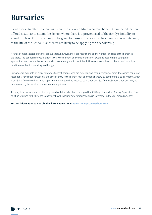# Bursaries

Stonar seeks to offer financial assistance to allow children who may benefit from the education offered at Stonar to attend the School where there is a proven need of the family's inability to afford full fees. Priority is likely to be given to those who are also able to contribute significantly to the life of the School. Candidates are likely to be applying for a scholarship.

A range of means tested bursaries are available, however, there are restrictions on the number and size of the bursaries available. The School reserves the right to vary the number and value of bursaries awarded according to strength of applications and the number of bursary holders already within the School. All awards are subject to the School's ability to fund them within its overall agreed budget.

Bursaries are available on entry to Stonar. Current parents who are experiencing genuine financial difficulties which could not reasonably have been foreseen at the time of entry to the School may apply for a bursary by completing a bursary form, which is available from the Admissions Department. Parents will be required to provide detailed financial information and may be interviewed by the Head in relation to their application.

To apply for a bursary, you must be registered with the School and have paid the £100 registration fee. Bursary Application Forms must be returned to the Finance Department by the closing date for registrations in November in the year preceding entry.

**Further information can be obtained from Admissions: admissions@stonarschool.com**